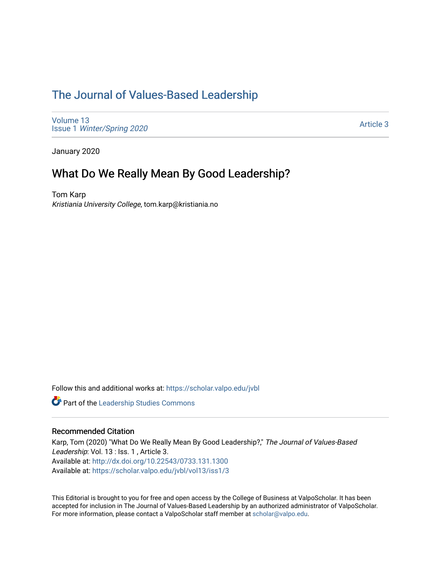## [The Journal of Values-Based Leadership](https://scholar.valpo.edu/jvbl)

[Volume 13](https://scholar.valpo.edu/jvbl/vol13) Issue 1 [Winter/Spring 2020](https://scholar.valpo.edu/jvbl/vol13/iss1) 

[Article 3](https://scholar.valpo.edu/jvbl/vol13/iss1/3) 

January 2020

### What Do We Really Mean By Good Leadership?

Tom Karp Kristiania University College, tom.karp@kristiania.no

Follow this and additional works at: [https://scholar.valpo.edu/jvbl](https://scholar.valpo.edu/jvbl?utm_source=scholar.valpo.edu%2Fjvbl%2Fvol13%2Fiss1%2F3&utm_medium=PDF&utm_campaign=PDFCoverPages) 

**Part of the Leadership Studies Commons** 

#### Recommended Citation

Karp, Tom (2020) "What Do We Really Mean By Good Leadership?," The Journal of Values-Based Leadership: Vol. 13 : Iss. 1, Article 3. Available at:<http://dx.doi.org/10.22543/0733.131.1300> Available at: [https://scholar.valpo.edu/jvbl/vol13/iss1/3](https://scholar.valpo.edu/jvbl/vol13/iss1/3?utm_source=scholar.valpo.edu%2Fjvbl%2Fvol13%2Fiss1%2F3&utm_medium=PDF&utm_campaign=PDFCoverPages)

This Editorial is brought to you for free and open access by the College of Business at ValpoScholar. It has been accepted for inclusion in The Journal of Values-Based Leadership by an authorized administrator of ValpoScholar. For more information, please contact a ValpoScholar staff member at [scholar@valpo.edu](mailto:scholar@valpo.edu).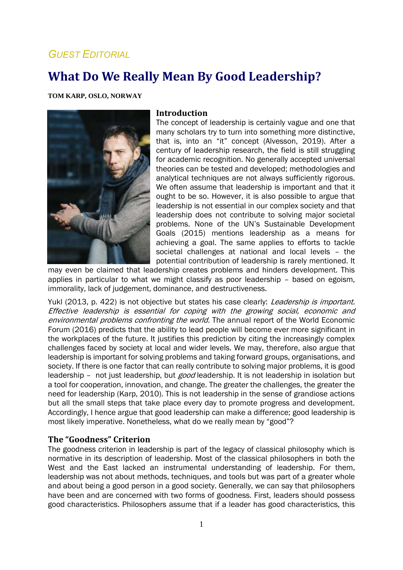## *GUEST EDITORIAL*

# **What Do We Really Mean By Good Leadership?**

**TOM KARP, OSLO, NORWAY**



#### **Introduction**

The concept of leadership is certainly vague and one that many scholars try to turn into something more distinctive, that is, into an "it" concept (Alvesson, 2019). After a century of leadership research, the field is still struggling for academic recognition. No generally accepted universal theories can be tested and developed; methodologies and analytical techniques are not always sufficiently rigorous. We often assume that leadership is important and that it ought to be so. However, it is also possible to argue that leadership is not essential in our complex society and that leadership does not contribute to solving major societal problems. None of the UN's Sustainable Development Goals (2015) mentions leadership as a means for achieving a goal. The same applies to efforts to tackle societal challenges at national and local levels – the potential contribution of leadership is rarely mentioned. It

may even be claimed that leadership creates problems and hinders development. This applies in particular to what we might classify as poor leadership – based on egoism, immorality, lack of judgement, dominance, and destructiveness.

Yukl (2013, p. 422) is not objective but states his case clearly: *Leadership is important.* Effective leadership is essential for coping with the growing social, economic and environmental problems confronting the world. The annual report of the World Economic Forum (2016) predicts that the ability to lead people will become ever more significant in the workplaces of the future. It justifies this prediction by citing the increasingly complex challenges faced by society at local and wider levels. We may, therefore, also argue that leadership is important for solving problems and taking forward groups, organisations, and society. If there is one factor that can really contribute to solving major problems, it is good leadership - not just leadership, but good leadership. It is not leadership in isolation but a tool for cooperation, innovation, and change. The greater the challenges, the greater the need for leadership (Karp, 2010). This is not leadership in the sense of grandiose actions but all the small steps that take place every day to promote progress and development. Accordingly, I hence argue that good leadership can make a difference; good leadership is most likely imperative. Nonetheless, what do we really mean by "good"?

#### **The "Goodness" Criterion**

The goodness criterion in leadership is part of the legacy of classical philosophy which is normative in its description of leadership. Most of the classical philosophers in both the West and the East lacked an instrumental understanding of leadership. For them, leadership was not about methods, techniques, and tools but was part of a greater whole and about being a good person in a good society. Generally, we can say that philosophers have been and are concerned with two forms of goodness. First, leaders should possess good characteristics. Philosophers assume that if a leader has good characteristics, this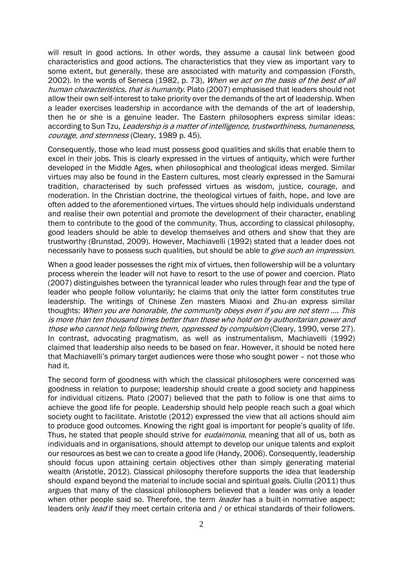will result in good actions. In other words, they assume a causal link between good characteristics and good actions. The characteristics that they view as important vary to some extent, but generally, these are associated with maturity and compassion (Forsth, 2002). In the words of Seneca (1982, p. 73), When we act on the basis of the best of all human characteristics, that is humanity. Plato (2007) emphasised that leaders should not allow their own self-interest to take priority over the demands of the art of leadership. When a leader exercises leadership in accordance with the demands of the art of leadership, then he or she is a genuine leader. The Eastern philosophers express similar ideas: according to Sun Tzu, Leadership is a matter of intelligence, trustworthiness, humaneness, courage, and sternness (Cleary, 1989 p. 45).

Consequently, those who lead must possess good qualities and skills that enable them to excel in their jobs. This is clearly expressed in the virtues of antiquity, which were further developed in the Middle Ages, when philosophical and theological ideas merged. Similar virtues may also be found in the Eastern cultures, most clearly expressed in the Samurai tradition, characterised by such professed virtues as wisdom, justice, courage, and moderation. In the Christian doctrine, the theological virtues of faith, hope, and love are often added to the aforementioned virtues. The virtues should help individuals understand and realise their own potential and promote the development of their character, enabling them to contribute to the good of the community. Thus, according to classical philosophy, good leaders should be able to develop themselves and others and show that they are trustworthy (Brunstad, 2009). However, Machiavelli (1992) stated that a leader does not necessarily have to possess such qualities, but should be able to *give such an impression*.

When a good leader possesses the right mix of virtues, then followership will be a voluntary process wherein the leader will not have to resort to the use of power and coercion. Plato (2007) distinguishes between the tyrannical leader who rules through fear and the type of leader who people follow voluntarily; he claims that only the latter form constitutes true leadership. The writings of Chinese Zen masters Miaoxi and Zhu-an express similar thoughts: When you are honorable, the community obeys even if you are not stern …. This is more than ten thousand times better than those who hold on by authoritarian power and those who cannot help following them, oppressed by compulsion (Cleary, 1990, verse 27). In contrast, advocating pragmatism, as well as instrumentalism, Machiavelli (1992) claimed that leadership also needs to be based on fear. However, it should be noted here that Machiavelli's primary target audiences were those who sought power – not those who had it.

The second form of goodness with which the classical philosophers were concerned was goodness in relation to purpose; leadership should create a good society and happiness for individual citizens. Plato (2007) believed that the path to follow is one that aims to achieve the good life for people. Leadership should help people reach such a goal which society ought to facilitate. Aristotle (2012) expressed the view that all actions should aim to produce good outcomes. Knowing the right goal is important for people's quality of life. Thus, he stated that people should strive for *eudaimonia*, meaning that all of us, both as individuals and in organisations, should attempt to develop our unique talents and exploit our resources as best we can to create a good life (Handy, 2006). Consequently, leadership should focus upon attaining certain objectives other than simply generating material wealth (Aristotle, 2012). Classical philosophy therefore supports the idea that leadership should expand beyond the material to include social and spiritual goals. Ciulla (2011) thus argues that many of the classical philosophers believed that a leader was only a leader when other people said so. Therefore, the term leader has a built-in normative aspect; leaders only *lead* if they meet certain criteria and / or ethical standards of their followers.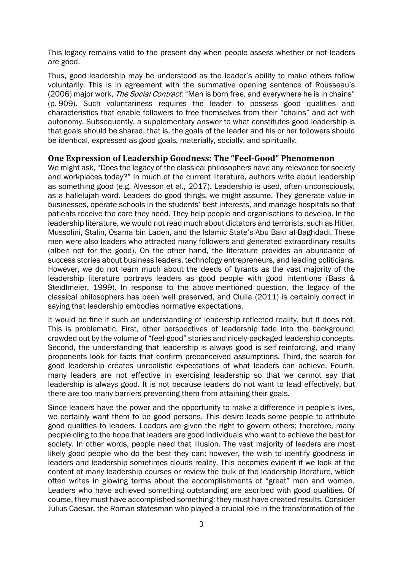This legacy remains valid to the present day when people assess whether or not leaders are good.

Thus, good leadership may be understood as the leader's ability to make others follow voluntarily. This is in agreement with the summative opening sentence of Rousseau's (2006) major work, *The Social Contract*: "Man is born free, and everywhere he is in chains" (p. 909). Such voluntariness requires the leader to possess good qualities and characteristics that enable followers to free themselves from their "chains" and act with autonomy. Subsequently, a supplementary answer to what constitutes good leadership is that goals should be shared, that is, the goals of the leader and his or her followers should be identical, expressed as good goals, materially, socially, and spiritually.

#### **One Expression of Leadership Goodness: The "Feel-Good" Phenomenon**

We might ask, "Does the legacy of the classical philosophers have any relevance for society and workplaces today?" In much of the current literature, authors write about leadership as something good (e.g. Alvesson et al., 2017). Leadership is used, often unconsciously, as a hallelujah word. Leaders do good things, we might assume. They generate value in businesses, operate schools in the students' best interests, and manage hospitals so that patients receive the care they need. They help people and organisations to develop. In the leadership literature, we would not read much about dictators and terrorists, such as Hitler, Mussolini, Stalin, Osama bin Laden, and the Islamic State's Abu Bakr al-Baghdadi. These men were also leaders who attracted many followers and generated extraordinary results (albeit not for the good). On the other hand, the literature provides an abundance of success stories about business leaders, technology entrepreneurs, and leading politicians. However, we do not learn much about the deeds of tyrants as the vast majority of the leadership literature portrays leaders as good people with good intentions (Bass & Steidlmeier, 1999). In response to the above-mentioned question, the legacy of the classical philosophers has been well preserved, and Ciulla (2011) is certainly correct in saying that leadership embodies normative expectations.

It would be fine if such an understanding of leadership reflected reality, but it does not. This is problematic. First, other perspectives of leadership fade into the background, crowded out by the volume of "feel-good" stories and nicely-packaged leadership concepts. Second, the understanding that leadership is always good is self-reinforcing, and many proponents look for facts that confirm preconceived assumptions. Third, the search for good leadership creates unrealistic expectations of what leaders can achieve. Fourth, many leaders are not effective in exercising leadership so that we cannot say that leadership is always good. It is not because leaders do not want to lead effectively, but there are too many barriers preventing them from attaining their goals.

Since leaders have the power and the opportunity to make a difference in people's lives, we certainly want them to be good persons. This desire leads some people to attribute good qualities to leaders. Leaders are given the right to govern others; therefore, many people cling to the hope that leaders are good individuals who want to achieve the best for society. In other words, people need that illusion. The vast majority of leaders are most likely good people who do the best they can; however, the wish to identify goodness in leaders and leadership sometimes clouds reality. This becomes evident if we look at the content of many leadership courses or review the bulk of the leadership literature, which often writes in glowing terms about the accomplishments of "great" men and women. Leaders who have achieved something outstanding are ascribed with good qualities. Of course, they must have accomplished something; they must have created results. Consider Julius Caesar, the Roman statesman who played a crucial role in the transformation of the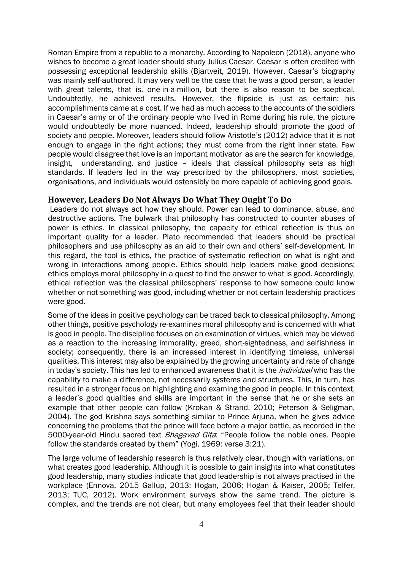Roman Empire from a republic to a monarchy. According to Napoleon (2018), anyone who wishes to become a great leader should study Julius Caesar. Caesar is often credited with possessing exceptional leadership skills (Bjartveit, 2019). However, Caesar's biography was mainly self-authored. It may very well be the case that he was a good person, a leader with great talents, that is, one-in-a-million, but there is also reason to be sceptical. Undoubtedly, he achieved results. However, the flipside is just as certain: his accomplishments came at a cost. If we had as much access to the accounts of the soldiers in Caesar's army or of the ordinary people who lived in Rome during his rule, the picture would undoubtedly be more nuanced. Indeed, leadership should promote the good of society and people. Moreover, leaders should follow Aristotle's (2012) advice that it is not enough to engage in the right actions; they must come from the right inner state. Few people would disagree that love is an important motivator as are the search for knowledge, insight, understanding, and justice – ideals that classical philosophy sets as high standards. If leaders led in the way prescribed by the philosophers, most societies, organisations, and individuals would ostensibly be more capable of achieving good goals.

#### **However, Leaders Do Not Always Do What They Ought To Do**

Leaders do not always act how they should. Power can lead to dominance, abuse, and destructive actions. The bulwark that philosophy has constructed to counter abuses of power is ethics. In classical philosophy, the capacity for ethical reflection is thus an important quality for a leader. Plato recommended that leaders should be practical philosophers and use philosophy as an aid to their own and others' self-development. In this regard, the tool is ethics, the practice of systematic reflection on what is right and wrong in interactions among people. Ethics should help leaders make good decisions; ethics employs moral philosophy in a quest to find the answer to what is good. Accordingly, ethical reflection was the classical philosophers' response to how someone could know whether or not something was good, including whether or not certain leadership practices were good.

Some of the ideas in positive psychology can be traced back to classical philosophy. Among other things, positive psychology re-examines moral philosophy and is concerned with what is good in people. The discipline focuses on an examination of virtues, which may be viewed as a reaction to the increasing immorality, greed, short-sightedness, and selfishness in society; consequently, there is an increased interest in identifying timeless, universal qualities. This interest may also be explained by the growing uncertainty and rate of change in today's society. This has led to enhanced awareness that it is the *individual* who has the capability to make a difference, not necessarily systems and structures. This, in turn, has resulted in a stronger focus on highlighting and examing the good in people. In this context, a leader's good qualities and skills are important in the sense that he or she sets an example that other people can follow (Krokan & Strand, 2010; Peterson & Seligman, 2004). The god Krishna says something similar to Prince Arjuna, when he gives advice concerning the problems that the prince will face before a major battle, as recorded in the 5000-year-old Hindu sacred text *Bhagavad Gita*: "People follow the noble ones. People follow the standards created by them" (Yogi, 1969: verse 3:21).

The large volume of leadership research is thus relatively clear, though with variations, on what creates good leadership. Although it is possible to gain insights into what constitutes good leadership, many studies indicate that good leadership is not always practised in the workplace (Ennova, 2015 Gallup, 2013; Hogan, 2006; Hogan & Kaiser, 2005; Telfer, 2013; TUC, 2012). Work environment surveys show the same trend. The picture is complex, and the trends are not clear, but many employees feel that their leader should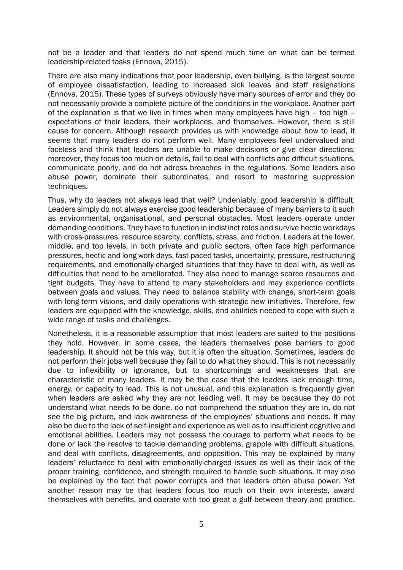not be a leader and that leaders do not spend much time on what can be termed leadership-related tasks (Ennova, 2015).

There are also many indications that poor leadership, even bullying, is the largest source of employee dissatisfaction, leading to increased sick leaves and staff resignations (Ennova, 2015). These types of surveys obviously have many sources of error and they do not necessarily provide a complete picture of the conditions in the workplace. Another part of the explanation is that we live in times when many employees have high – too high – expectations of their leaders, their workplaces, and themselves. However, there is still cause for concern. Although research provides us with knowledge about how to lead, it seems that many leaders do not perform well. Many employees feel undervalued and faceless and think that leaders are unable to make decisions or give clear directions; moreover, they focus too much on details, fail to deal with conflicts and difficult situations, communicate poorly, and do not adress breaches in the regulations. Some leaders also abuse power, dominate their subordinates, and resort to mastering suppression techniques.

Thus, why do leaders not always lead that well? Undeniably, good leadership is difficult. Leaders simply do not always exercise good leadership because of many barriers to it such as environmental, organisational, and personal obstacles. Most leaders operate under demanding conditions. They have to function in indistinct roles and survive hectic workdays with cross-pressures, resource scarcity, conflicts, stress, and friction. Leaders at the lower, middle, and top levels, in both private and public sectors, often face high performance pressures, hectic and long work days, fast-paced tasks, uncertainty, pressure, restructuring requirements, and emotionally-charged situations that they have to deal with, as well as difficulties that need to be ameliorated. They also need to manage scarce resources and tight budgets. They have to attend to many stakeholders and may experience conflicts between goals and values. They need to balance stability with change, short-term goals with long-term visions, and daily operations with strategic new initiatives. Therefore, few leaders are equipped with the knowledge, skills, and abilities needed to cope with such a wide range of tasks and challenges.

Nonetheless, it is a reasonable assumption that most leaders are suited to the positions they hold. However, in some cases, the leaders themselves pose barriers to good leadership. It should not be this way, but it is often the situation. Sometimes, leaders do not perform their jobs well because they fail to do what they should. This is not necessarily due to inflexibility or ignorance, but to shortcomings and weaknesses that are characteristic of many leaders. It may be the case that the leaders lack enough time, energy, or capacity to lead. This is not unusual, and this explanation is frequently given when leaders are asked why they are not leading well. It may be because they do not understand what needs to be done, do not comprehend the situation they are in, do not see the big picture, and lack awareness of the employees' situations and needs. It may also be due to the lack of self-insight and experience as well as to insufficient cognitive and emotional abilities. Leaders may not possess the courage to perform what needs to be done or lack the resolve to tackle demanding problems, grapple with difficult situations, and deal with conflicts, disagreements, and opposition. This may be explained by many leaders' reluctance to deal with emotionally-charged issues as well as their lack of the proper training, confidence, and strength required to handle such situations. It may also be explained by the fact that power corrupts and that leaders often abuse power. Yet another reason may be that leaders focus too much on their own interests, award themselves with benefits, and operate with too great a gulf between theory and practice.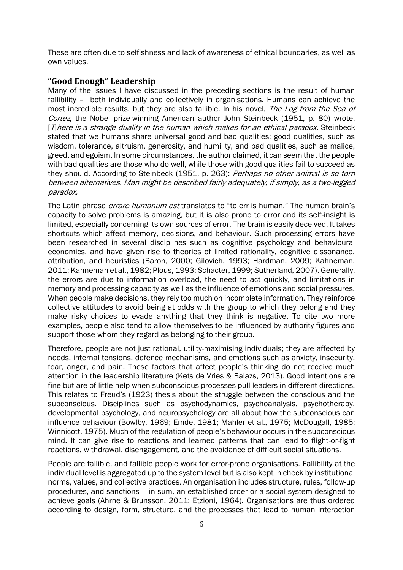These are often due to selfishness and lack of awareness of ethical boundaries, as well as own values.

#### **"Good Enough" Leadership**

Many of the issues I have discussed in the preceding sections is the result of human fallibility – both individually and collectively in organisations. Humans can achieve the most incredible results, but they are also fallible. In his novel, The Log from the Sea of Cortez, the Nobel prize-winning American author John Steinbeck (1951, p. 80) wrote,  $[n]$ here is a strange duality in the human which makes for an ethical paradox. Steinbeck stated that we humans share universal good and bad qualities: good qualities, such as wisdom, tolerance, altruism, generosity, and humility, and bad qualities, such as malice, greed, and egoism. In some circumstances, the author claimed, it can seem that the people with bad qualities are those who do well, while those with good qualities fail to succeed as they should. According to Steinbeck (1951, p. 263): Perhaps no other animal is so torn between alternatives. Man might be described fairly adequately, if simply, as a two-legged paradox.

The Latin phrase *errare humanum est* translates to "to err is human." The human brain's capacity to solve problems is amazing, but it is also prone to error and its self-insight is limited, especially concerning its own sources of error. The brain is easily deceived. It takes shortcuts which affect memory, decisions, and behaviour. Such processing errors have been researched in several disciplines such as cognitive psychology and behavioural economics, and have given rise to theories of limited rationality, cognitive dissonance, attribution, and heuristics (Baron, 2000; Gilovich, 1993; Hardman, 2009; Kahneman, 2011; Kahneman et al., 1982; Plous, 1993; Schacter, 1999; Sutherland, 2007). Generally, the errors are due to information overload, the need to act quickly, and limitations in memory and processing capacity as well as the influence of emotions and social pressures. When people make decisions, they rely too much on incomplete information. They reinforce collective attitudes to avoid being at odds with the group to which they belong and they make risky choices to evade anything that they think is negative. To cite two more examples, people also tend to allow themselves to be influenced by authority figures and support those whom they regard as belonging to their group.

Therefore, people are not just rational, utility-maximising individuals; they are affected by needs, internal tensions, defence mechanisms, and emotions such as anxiety, insecurity, fear, anger, and pain. These factors that affect people's thinking do not receive much attention in the leadership literature (Kets de Vries & Balazs, 2013). Good intentions are fine but are of little help when subconscious processes pull leaders in different directions. This relates to Freud's (1923) thesis about the struggle between the conscious and the subconscious. Disciplines such as psychodynamics, psychoanalysis, psychotherapy, developmental psychology, and neuropsychology are all about how the subconscious can influence behaviour (Bowlby, 1969; Emde, 1981; Mahler et al., 1975; McDougall, 1985; Winnicott, 1975). Much of the regulation of people's behaviour occurs in the subconscious mind. It can give rise to reactions and learned patterns that can lead to flight-or-fight reactions, withdrawal, disengagement, and the avoidance of difficult social situations.

People are fallible, and fallible people work for error-prone organisations. Fallibility at the individual level is aggregated up to the system level but is also kept in check by institutional norms, values, and collective practices. An organisation includes structure, rules, follow-up procedures, and sanctions – in sum, an established order or a social system designed to achieve goals (Ahrne & Brunsson, 2011; Etzioni, 1964). Organisations are thus ordered according to design, form, structure, and the processes that lead to human interaction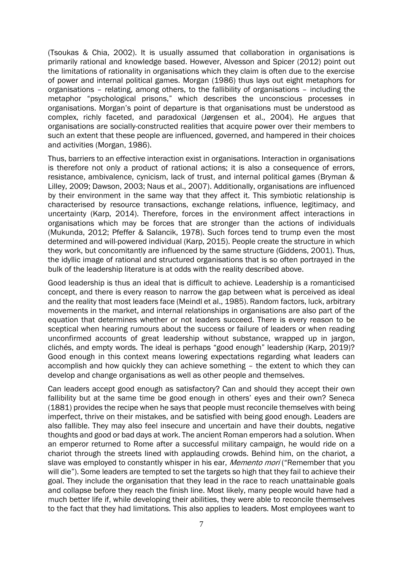(Tsoukas & Chia, 2002). It is usually assumed that collaboration in organisations is primarily rational and knowledge based. However, Alvesson and Spicer (2012) point out the limitations of rationality in organisations which they claim is often due to the exercise of power and internal political games. Morgan (1986) thus lays out eight metaphors for organisations – relating, among others, to the fallibility of organisations – including the metaphor "psychological prisons," which describes the unconscious processes in organisations. Morgan's point of departure is that organisations must be understood as complex, richly faceted, and paradoxical (Jørgensen et al., 2004). He argues that organisations are socially-constructed realities that acquire power over their members to such an extent that these people are influenced, governed, and hampered in their choices and activities (Morgan, 1986).

Thus, barriers to an effective interaction exist in organisations. Interaction in organisations is therefore not only a product of rational actions; it is also a consequence of errors, resistance, ambivalence, cynicism, lack of trust, and internal political games (Bryman & Lilley, 2009; Dawson, 2003; Naus et al., 2007). Additionally, organisations are influenced by their environment in the same way that they affect it. This symbiotic relationship is characterised by resource transactions, exchange relations, influence, legitimacy, and uncertainty (Karp, 2014). Therefore, forces in the environment affect interactions in organisations which may be forces that are stronger than the actions of individuals (Mukunda, 2012; Pfeffer & Salancik, 1978). Such forces tend to trump even the most determined and will-powered individual (Karp, 2015). People create the structure in which they work, but concomitantly are influenced by the same structure (Giddens, 2001). Thus, the idyllic image of rational and structured organisations that is so often portrayed in the bulk of the leadership literature is at odds with the reality described above.

Good leadership is thus an ideal that is difficult to achieve. Leadership is a romanticised concept, and there is every reason to narrow the gap between what is perceived as ideal and the reality that most leaders face (Meindl et al., 1985). Random factors, luck, arbitrary movements in the market, and internal relationships in organisations are also part of the equation that determines whether or not leaders succeed. There is every reason to be sceptical when hearing rumours about the success or failure of leaders or when reading unconfirmed accounts of great leadership without substance, wrapped up in jargon, clichés, and empty words. The ideal is perhaps "good enough" leadership (Karp, 2019)? Good enough in this context means lowering expectations regarding what leaders can accomplish and how quickly they can achieve something – the extent to which they can develop and change organisations as well as other people and themselves.

Can leaders accept good enough as satisfactory? Can and should they accept their own fallibility but at the same time be good enough in others' eyes and their own? Seneca (1881) provides the recipe when he says that people must reconcile themselves with being imperfect, thrive on their mistakes, and be satisfied with being good enough. Leaders are also fallible. They may also feel insecure and uncertain and have their doubts, negative thoughts and good or bad days at work. The ancient Roman emperors had a solution. When an emperor returned to Rome after a successful military campaign, he would ride on a chariot through the streets lined with applauding crowds. Behind him, on the chariot, a slave was employed to constantly whisper in his ear, Memento mori ("Remember that you will die"). Some leaders are tempted to set the targets so high that they fail to achieve their goal. They include the organisation that they lead in the race to reach unattainable goals and collapse before they reach the finish line. Most likely, many people would have had a much better life if, while developing their abilities, they were able to reconcile themselves to the fact that they had limitations. This also applies to leaders. Most employees want to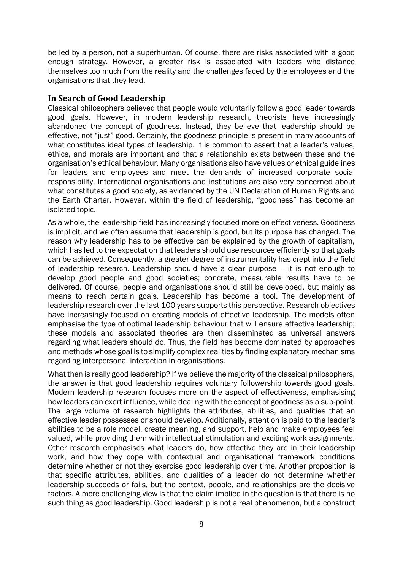be led by a person, not a superhuman. Of course, there are risks associated with a good enough strategy. However, a greater risk is associated with leaders who distance themselves too much from the reality and the challenges faced by the employees and the organisations that they lead.

#### **In Search of Good Leadership**

Classical philosophers believed that people would voluntarily follow a good leader towards good goals. However, in modern leadership research, theorists have increasingly abandoned the concept of goodness. Instead, they believe that leadership should be effective, not "just" good. Certainly, the goodness principle is present in many accounts of what constitutes ideal types of leadership. It is common to assert that a leader's values, ethics, and morals are important and that a relationship exists between these and the organisation's ethical behaviour. Many organisations also have values or ethical guidelines for leaders and employees and meet the demands of increased corporate social responsibility. International organisations and institutions are also very concerned about what constitutes a good society, as evidenced by the UN Declaration of Human Rights and the Earth Charter. However, within the field of leadership, "goodness" has become an isolated topic.

As a whole, the leadership field has increasingly focused more on effectiveness. Goodness is implicit, and we often assume that leadership is good, but its purpose has changed. The reason why leadership has to be effective can be explained by the growth of capitalism, which has led to the expectation that leaders should use resources efficiently so that goals can be achieved. Consequently, a greater degree of instrumentality has crept into the field of leadership research. Leadership should have a clear purpose – it is not enough to develop good people and good societies; concrete, measurable results have to be delivered. Of course, people and organisations should still be developed, but mainly as means to reach certain goals. Leadership has become a tool. The development of leadership research over the last 100 years supports this perspective. Research objectives have increasingly focused on creating models of effective leadership. The models often emphasise the type of optimal leadership behaviour that will ensure effective leadership; these models and associated theories are then disseminated as universal answers regarding what leaders should do. Thus, the field has become dominated by approaches and methods whose goal is to simplify complex realities by finding explanatory mechanisms regarding interpersonal interaction in organisations.

What then is really good leadership? If we believe the majority of the classical philosophers, the answer is that good leadership requires voluntary followership towards good goals. Modern leadership research focuses more on the aspect of effectiveness, emphasising how leaders can exert influence, while dealing with the concept of goodness as a sub-point. The large volume of research highlights the attributes, abilities, and qualities that an effective leader possesses or should develop. Additionally, attention is paid to the leader's abilities to be a role model, create meaning, and support, help and make employees feel valued, while providing them with intellectual stimulation and exciting work assignments. Other research emphasises what leaders do, how effective they are in their leadership work, and how they cope with contextual and organisational framework conditions determine whether or not they exercise good leadership over time. Another proposition is that specific attributes, abilities, and qualities of a leader do not determine whether leadership succeeds or fails, but the context, people, and relationships are the decisive factors. A more challenging view is that the claim implied in the question is that there is no such thing as good leadership. Good leadership is not a real phenomenon, but a construct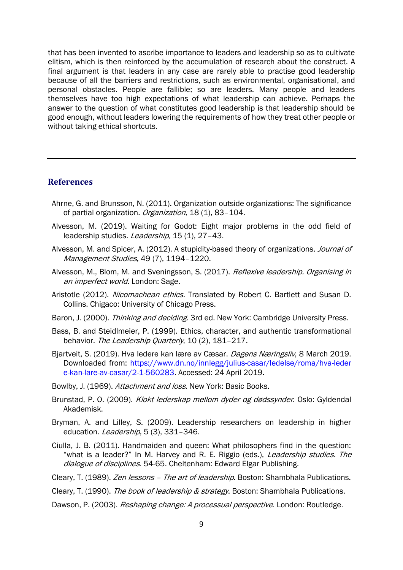that has been invented to ascribe importance to leaders and leadership so as to cultivate elitism, which is then reinforced by the accumulation of research about the construct. A final argument is that leaders in any case are rarely able to practise good leadership because of all the barriers and restrictions, such as environmental, organisational, and personal obstacles. People are fallible; so are leaders. Many people and leaders themselves have too high expectations of what leadership can achieve. Perhaps the answer to the question of what constitutes good leadership is that leadership should be good enough, without leaders lowering the requirements of how they treat other people or without taking ethical shortcuts.

#### **References**

- Ahrne, G. and Brunsson, N. (2011). Organization outside organizations: The significance of partial organization. Organization, 18 (1), 83-104.
- Alvesson, M. (2019). Waiting for Godot: Eight major problems in the odd field of leadership studies. Leadership, 15 (1), 27-43.
- Alvesson, M. and Spicer, A. (2012). A stupidity-based theory of organizations. *Journal of* Management Studies, 49 (7), 1194–1220.
- Alvesson, M., Blom, M. and Sveningsson, S. (2017). Reflexive leadership. Organising in an imperfect world. London: Sage.
- Aristotle (2012). Nicomachean ethics. Translated by Robert C. Bartlett and Susan D. Collins. Chigaco: University of Chicago Press.
- Baron, J. (2000). Thinking and deciding. 3rd ed. New York: Cambridge University Press.
- Bass, B. and Steidlmeier, P. (1999). Ethics, character, and authentic transformational behavior. The Leadership Quarterly, 10 (2), 181-217.
- Bjartveit, S. (2019). Hva ledere kan lære av Cæsar. Dagens Næringsliv, 8 March 2019. Downloaded from: https://www.dn.no/innlegg/julius-casar/ledelse/roma/hva-leder [e-kan-lare-av-casar/2-1-560283.](https://www.dn.no/innlegg/julius-casar/ledelse/roma/hva-leder%20e-kan-lare-av-casar/2-1-560283) Accessed: 24 April 2019.
- Bowlby, J. (1969). Attachment and loss. New York: Basic Books.
- Brunstad, P. O. (2009). Klokt lederskap mellom dyder og dødssynder. Oslo: Gyldendal Akademisk.
- Bryman, A. and Lilley, S. (2009). Leadership researchers on leadership in higher education. *Leadership*, 5(3), 331-346.
- Ciulla, J. B. (2011). Handmaiden and queen: What philosophers find in the question: "what is a leader?" In M. Harvey and R. E. Riggio (eds.), Leadership studies. The dialogue of disciplines. 54-65. Cheltenham: Edward Elgar Publishing.
- Cleary, T. (1989). Zen lessons The art of leadership. Boston: Shambhala Publications.

Cleary, T. (1990). The book of leadership & strategy. Boston: Shambhala Publications.

Dawson, P. (2003). *Reshaping change: A processual perspective*. London: Routledge.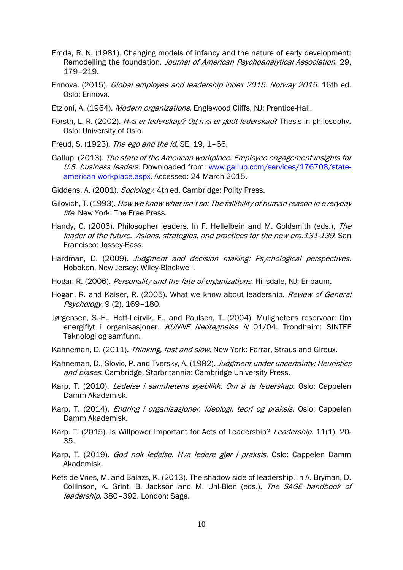- Emde, R. N. (1981). Changing models of infancy and the nature of early development: Remodelling the foundation. Journal of American Psychoanalytical Association, 29, 179–219.
- Ennova. (2015). Global employee and leadership index 2015. Norway 2015. 16th ed. Oslo: Ennova.
- Etzioni, A. (1964). Modern organizations. Englewood Cliffs, NJ: Prentice-Hall.
- Forsth, L.-R. (2002). Hva er lederskap? Og hva er godt lederskap? Thesis in philosophy. Oslo: University of Oslo.
- Freud, S. (1923). The ego and the id. SE, 19, 1-66.
- Gallup. (2013). The state of the American workplace: Employee engagement insights for U.S. business leaders. Downloaded from: [www.gallup.com/services/176708/state](http://www.gallup.com/services/176708/state-american-workplace.aspx)[american-workplace.aspx.](http://www.gallup.com/services/176708/state-american-workplace.aspx) Accessed: 24 March 2015.
- Giddens, A. (2001). Sociology. 4th ed. Cambridge: Polity Press.
- Gilovich, T. (1993). How we know what isn't so: The fallibility of human reason in everyday life. New York: The Free Press.
- Handy, C. (2006). Philosopher leaders. In F. Hellelbein and M. Goldsmith (eds.), The leader of the future. Visions, strategies, and practices for the new era.131-139. San Francisco: Jossey-Bass.
- Hardman, D. (2009). Judgment and decision making: Psychological perspectives. Hoboken, New Jersey: Wiley-Blackwell.
- Hogan R. (2006). Personality and the fate of organizations. Hillsdale, NJ: Erlbaum.
- Hogan, R. and Kaiser, R. (2005). What we know about leadership. Review of General Psychology, 9 (2), 169–180.
- Jørgensen, S.-H., Hoff-Leirvik, E., and Paulsen, T. (2004). Mulighetens reservoar: Om energiflyt i organisasjoner. KUNNE Nedtegnelse N 01/04. Trondheim: SINTEF Teknologi og samfunn.
- Kahneman, D. (2011). Thinking, fast and slow. New York: Farrar, Straus and Giroux.
- Kahneman, D., Slovic, P. and Tversky, A. (1982). Judgment under uncertainty: Heuristics and biases. Cambridge, Storbritannia: Cambridge University Press.
- Karp, T. (2010). *Ledelse i sannhetens øyeblikk. Om å ta lederskap*. Oslo: Cappelen Damm Akademisk.
- Karp, T. (2014). *Endring i organisasjoner. Ideologi, teori og praksis*. Oslo: Cappelen Damm Akademisk.
- Karp. T. (2015). Is Willpower Important for Acts of Leadership? *Leadership.* 11(1), 20-35.
- Karp, T. (2019). God nok ledelse. Hva ledere gjør i praksis. Oslo: Cappelen Damm Akademisk.
- Kets de Vries, M. and Balazs, K. (2013). The shadow side of leadership. In A. Bryman, D. Collinson, K. Grint, B. Jackson and M. Uhl-Bien (eds.), The SAGE handbook of leadership, 380-392. London: Sage.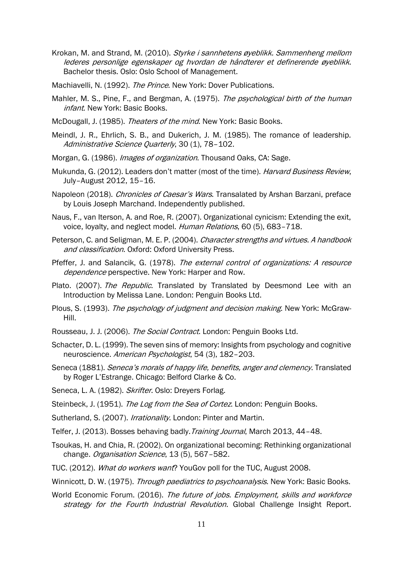Krokan, M. and Strand, M. (2010). Styrke i sannhetens øyeblikk. Sammenheng mellom lederes personlige egenskaper og hvordan de håndterer et definerende øyeblikk. Bachelor thesis. Oslo: Oslo School of Management.

Machiavelli, N. (1992). The Prince. New York: Dover Publications.

- Mahler, M. S., Pine, F., and Bergman, A. (1975). The psychological birth of the human infant. New York: Basic Books.
- McDougall, J. (1985). Theaters of the mind. New York: Basic Books.
- Meindl, J. R., Ehrlich, S. B., and Dukerich, J. M. (1985). The romance of leadership. Administrative Science Quarterly, 30 (1), 78-102.
- Morgan, G. (1986). *Images of organization*. Thousand Oaks, CA: Sage.
- Mukunda, G. (2012). Leaders don't matter (most of the time). *Harvard Business Review*, July–August 2012, 15–16.
- Napoleon (2018). Chronicles of Caesar's Wars. Transalated by [Arshan Barzani,](https://www.amazon.com/Arshan-Barzani/e/B0771SGQQX/ref=dp_byline_cont_book_2) preface by [Louis Joseph Marchand.](https://www.amazon.com/s/ref=dp_byline_sr_book_3?ie=UTF8&field-author=Louis+Joseph+Marchand&text=Louis+Joseph+Marchand&sort=relevancerank&search-alias=books) Independently published.
- Naus, F., van Iterson, A. and Roe, R. (2007). Organizational cynicism: Extending the exit, voice, loyalty, and neglect model. Human Relations, 60 (5), 683–718.
- Peterson, C. and Seligman, M. E. P. (2004). Character strengths and virtues. A handbook and classification. Oxford: Oxford University Press.
- Pfeffer, J. and Salancik, G. (1978). The external control of organizations: A resource dependence perspective. New York: Harper and Row.
- Plato. (2007). The Republic. Translated by Translated by Deesmond Lee with an Introduction by Melissa Lane. London: Penguin Books Ltd.
- Plous, S. (1993). The psychology of judgment and decision making. New York: McGraw-Hill.
- Rousseau, J. J. (2006). The Social Contract. London: [Penguin Books Ltd.](https://www.bookdepository.com/publishers/Penguin-Books-Ltd)
- Schacter, D. L. (1999). The seven sins of memory: Insights from psychology and cognitive neuroscience. American Psychologist, 54 (3), 182–203.
- Seneca (1881). Seneca's morals of happy life, benefits, anger and clemency. Translated by Roger L'Estrange. Chicago: Belford Clarke & Co.
- Seneca, L. A. (1982). Skrifter. Oslo: Dreyers Forlag.
- Steinbeck, J. (1951). The Log from the Sea of Cortez. London: Penguin Books.
- Sutherland, S. (2007). Irrationality. London: Pinter and Martin.
- Telfer, J. (2013). Bosses behaving badly. Training Journal, March 2013, 44-48.
- Tsoukas, H. and Chia, R. (2002). On organizational becoming: Rethinking organizational change. Organisation Science, 13 (5), 567-582.
- TUC. (2012). What do workers want? YouGov poll for the TUC, August 2008.
- Winnicott, D. W. (1975). Through paediatrics to psychoanalysis. New York: Basic Books.
- World Economic Forum. (2016). The future of jobs. Employment, skills and workforce strategy for the Fourth Industrial Revolution. Global Challenge Insight Report.